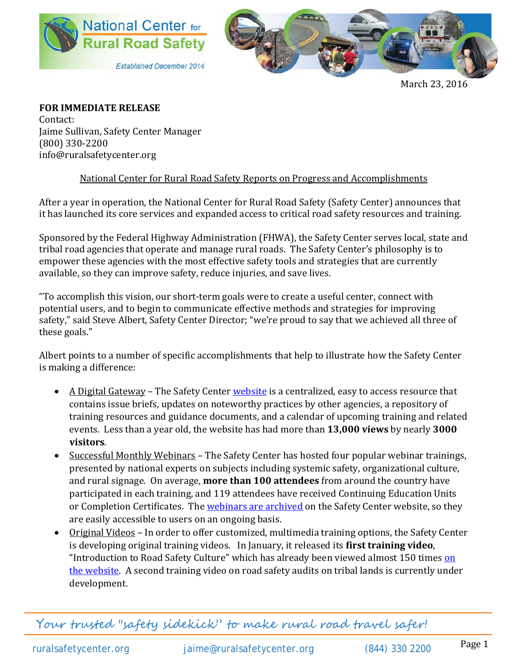



March 23, 2016

**FOR IMMEDIATE RELEASE** Contact: Jaime Sullivan, Safety Center Manager (800) 330-2200 info@ruralsafetycenter.org

## National Center for Rural Road Safety Reports on Progress and Accomplishments

After a year in operation, the National Center for Rural Road Safety (Safety Center) announces that it has launched its core services and expanded access to critical road safety resources and training.

Sponsored by the Federal Highway Administration (FHWA), the Safety Center serves local, state and tribal road agencies that operate and manage rural roads. The Safety Center's philosophy is to empower these agencies with the most effective safety tools and strategies that are currently available, so they can improve safety, reduce injuries, and save lives.

"To accomplish this vision, our short-term goals were to create a useful center, connect with potential users, and to begin to communicate effective methods and strategies for improving safety," said Steve Albert, Safety Center Director; "we're proud to say that we achieved all three of these goals."

Albert points to a number of specific accomplishments that help to illustrate how the Safety Center is making a difference:

- A Digital Gateway The Safety Center [website](http://ruralsafetycenter.org/resources/multimedia/) is a centralized, easy to access resource that contains issue briefs, updates on noteworthy practices by other agencies, a repository of training resources and guidance documents, and a calendar of upcoming training and related events. Less than a year old, the website has had more than **13,000 views** by nearly **3000 visitors**.
- Successful Monthly Webinars The Safety Center has hosted four popular webinar trainings, presented by national experts on subjects including systemic safety, organizational culture, and rural signage. On average, **more than 100 attendees** from around the country have participated in each training, and 119 attendees have received Continuing Education Units or Completion Certificates. The [webinars are archived](http://ruralsafetycenter.org/training-education/safety-center-trainings/archived-safety-center-trainings/) on the Safety Center website, so they are easily accessible to users on an ongoing basis.
- Original Videos In order to offer customized, multimedia training options, the Safety Center is developing original training videos. In January, it released its **first training video**, "Introduction to Road Safety Culture" which has already been viewed almost 150 times on [the website.](http://ruralsafetycenter.org/resources/multimedia/) A second training video on road safety audits on tribal lands is currently under development.

Your trusted "safety sidekick" to make rural road travel safer!

ruralsafetycenter.org [jaime@ruralsafetycenter.org](mailto:jaime@ruralsafetycenter.org) (844) 330 2200